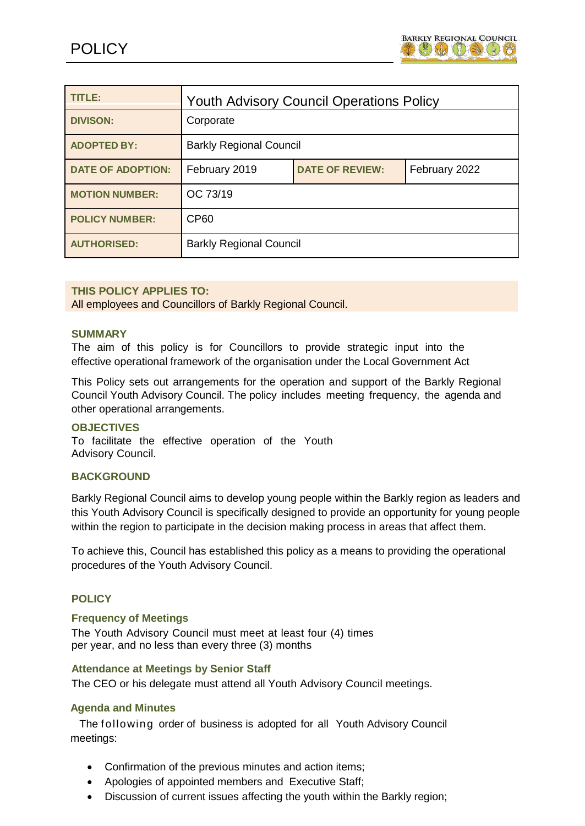

| <b>TITLE:</b>            | <b>Youth Advisory Council Operations Policy</b> |                        |               |  |
|--------------------------|-------------------------------------------------|------------------------|---------------|--|
| <b>DIVISON:</b>          | Corporate                                       |                        |               |  |
| <b>ADOPTED BY:</b>       | <b>Barkly Regional Council</b>                  |                        |               |  |
| <b>DATE OF ADOPTION:</b> | February 2019                                   | <b>DATE OF REVIEW:</b> | February 2022 |  |
| <b>MOTION NUMBER:</b>    | OC 73/19                                        |                        |               |  |
| <b>POLICY NUMBER:</b>    | <b>CP60</b>                                     |                        |               |  |
| <b>AUTHORISED:</b>       | <b>Barkly Regional Council</b>                  |                        |               |  |

## **THIS POLICY APPLIES TO:**

All employees and Councillors of Barkly Regional Council.

#### **SUMMARY**

The aim of this policy is for Councillors to provide strategic input into the effective operational framework of the organisation under the Local Government Act

This Policy sets out arrangements for the operation and support of the Barkly Regional Council Youth Advisory Council. The policy includes meeting frequency, the agenda and other operational arrangements.

### **OBJECTIVES**

To facilitate the effective operation of the Youth Advisory Council.

### **BACKGROUND**

Barkly Regional Council aims to develop young people within the Barkly region as leaders and this Youth Advisory Council is specifically designed to provide an opportunity for young people within the region to participate in the decision making process in areas that affect them.

To achieve this, Council has established this policy as a means to providing the operational procedures of the Youth Advisory Council.

### **POLICY**

### **Frequency of Meetings**

The Youth Advisory Council must meet at least four (4) times per year, and no less than every three (3) months

### **Attendance at Meetings by Senior Staff**

The CEO or his delegate must attend all Youth Advisory Council meetings.

### **Agenda and Minutes**

 The following order of business is adopted for all Youth Advisory Council meetings:

- Confirmation of the previous minutes and action items;
- Apologies of appointed members and Executive Staff;
- Discussion of current issues affecting the youth within the Barkly region;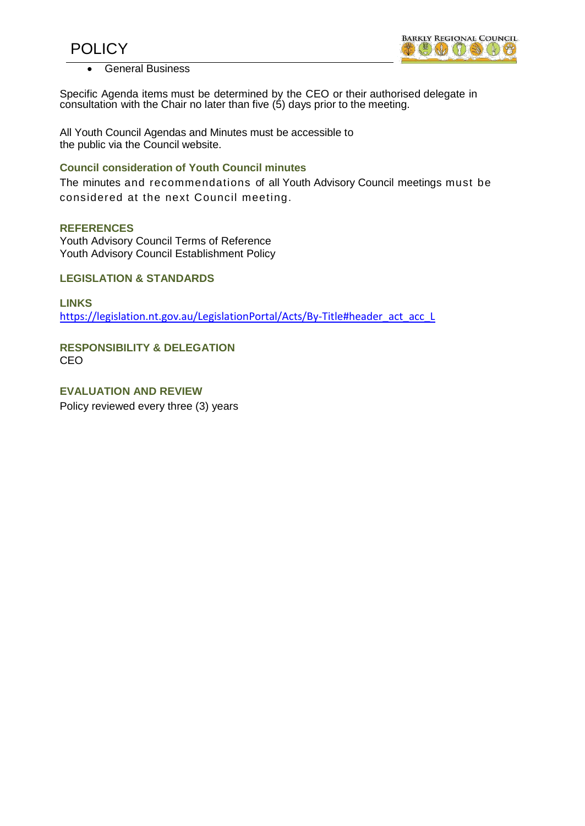



General Business

Specific Agenda items must be determined by the CEO or their authorised delegate in consultation with the Chair no later than five (5) days prior to the meeting.

All Youth Council Agendas and Minutes must be accessible to the public via the Council website.

### **Council consideration of Youth Council minutes**

The minutes and recommendations of all Youth Advisory Council meetings must be considered at the next Council meeting.

### **REFERENCES**

Youth Advisory Council Terms of Reference Youth Advisory Council Establishment Policy

**LEGISLATION & STANDARDS**

**LINKS** [https://legislation.nt.gov.au/LegislationPortal/Acts/By-Title#header\\_act\\_acc\\_L](https://legislation.nt.gov.au/LegislationPortal/Acts/By-Title#header_act_acc_L)

**RESPONSIBILITY & DELEGATION** CEO

**EVALUATION AND REVIEW** Policy reviewed every three (3) years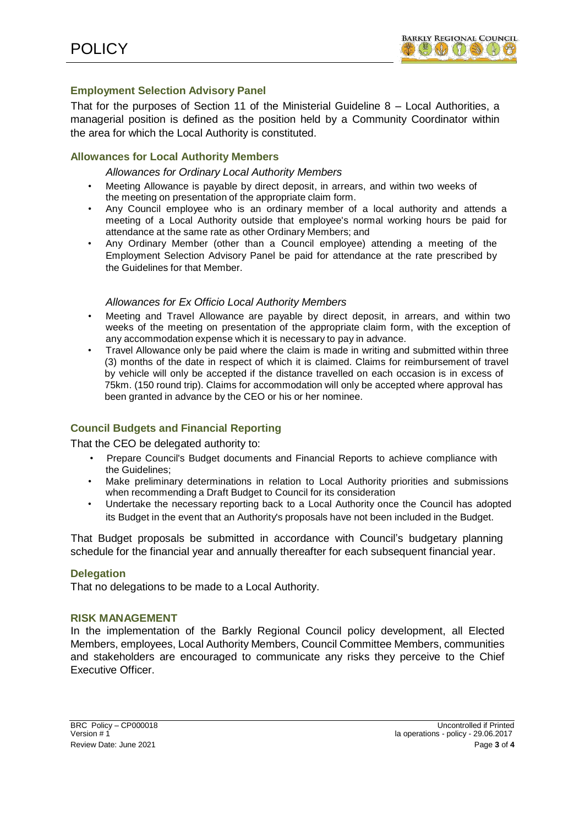## **Employment Selection Advisory Panel**

That for the purposes of Section 11 of the Ministerial Guideline 8 – Local Authorities, a managerial position is defined as the position held by a Community Coordinator within the area for which the Local Authority is constituted.

# **Allowances for Local Authority Members**

### *Allowances for Ordinary Local Authority Members*

- Meeting Allowance is payable by direct deposit, in arrears, and within two weeks of the meeting on presentation of the appropriate claim form.
- Any Council employee who is an ordinary member of a local authority and attends a meeting of a Local Authority outside that employee's normal working hours be paid for attendance at the same rate as other Ordinary Members; and
- Any Ordinary Member (other than a Council employee) attending a meeting of the Employment Selection Advisory Panel be paid for attendance at the rate prescribed by the Guidelines for that Member.

### *Allowances for Ex Officio Local Authority Members*

- Meeting and Travel Allowance are payable by direct deposit, in arrears, and within two weeks of the meeting on presentation of the appropriate claim form, with the exception of any accommodation expense which it is necessary to pay in advance.
- Travel Allowance only be paid where the claim is made in writing and submitted within three (3) months of the date in respect of which it is claimed. Claims for reimbursement of travel by vehicle will only be accepted if the distance travelled on each occasion is in excess of 75km. (150 round trip). Claims for accommodation will only be accepted where approval has been granted in advance by the CEO or his or her nominee.

# **Council Budgets and Financial Reporting**

That the CEO be delegated authority to:

- Prepare Council's Budget documents and Financial Reports to achieve compliance with the Guidelines;
- Make preliminary determinations in relation to Local Authority priorities and submissions when recommending a Draft Budget to Council for its consideration
- Undertake the necessary reporting back to a Local Authority once the Council has adopted its Budget in the event that an Authority's proposals have not been included in the Budget.

That Budget proposals be submitted in accordance with Council's budgetary planning schedule for the financial year and annually thereafter for each subsequent financial year.

## **Delegation**

That no delegations to be made to a Local Authority.

### **RISK MANAGEMENT**

In the implementation of the Barkly Regional Council policy development, all Elected Members, employees, Local Authority Members, Council Committee Members, communities and stakeholders are encouraged to communicate any risks they perceive to the Chief Executive Officer.